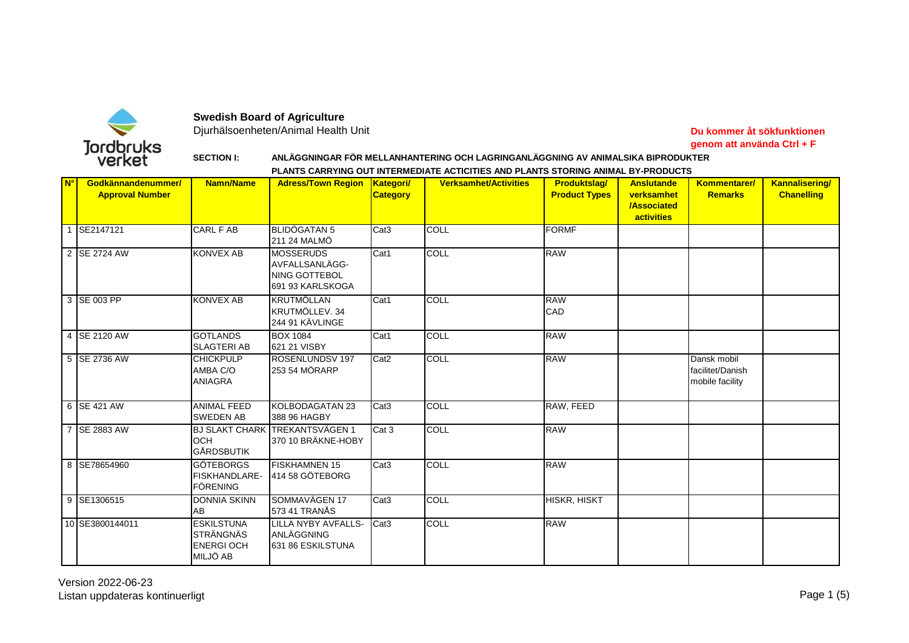

## **Swedish Board of Agriculture**

Djurhälsoenheten/Animal Health Unit

## **Du kommer åt sökfunktionen genom att använda Ctrl + F**

## **SECTION I: ANLÄGGNINGAR FÖR MELLANHANTERING OCH LAGRINGANLÄGGNING AV ANIMALSIKA BIPRODUKTER PLANTS CARRYING OUT INTERMEDIATE ACTICITIES AND PLANTS STORING ANIMAL BY-PRODUCTS**

| N <sup>o</sup> | Godkännandenummer/<br><b>Approval Number</b> | Namn/Name                                                                    | <b>Adress/Town Region</b>                                                      | <b>Kategori/</b><br><b>Category</b> | <b>Verksamhet/Activities</b> | <b>Produktslag/</b><br><b>Product Types</b> | <b>Anslutande</b><br>verksamhet<br><b>/Associated</b><br>activities | Kommentarer/<br><b>Remarks</b>                     | <b>Kannalisering/</b><br><b>Chanelling</b> |
|----------------|----------------------------------------------|------------------------------------------------------------------------------|--------------------------------------------------------------------------------|-------------------------------------|------------------------------|---------------------------------------------|---------------------------------------------------------------------|----------------------------------------------------|--------------------------------------------|
|                | SE2147121                                    | <b>CARL F AB</b>                                                             | <b>BLIDÖGATAN 5</b><br>211 24 MALMÖ                                            | Cat <sub>3</sub>                    | <b>COLL</b>                  | <b>FORMF</b>                                |                                                                     |                                                    |                                            |
|                | 2 SE 2724 AW                                 | <b>KONVEX AB</b>                                                             | <b>MOSSERUDS</b><br>AVFALLSANLÄGG-<br><b>NING GOTTEBOL</b><br>691 93 KARLSKOGA | Cat1                                | <b>COLL</b>                  | <b>RAW</b>                                  |                                                                     |                                                    |                                            |
|                | 3 SE 003 PP                                  | <b>KONVEX AB</b>                                                             | <b>KRUTMÖLLAN</b><br>KRUTMÖLLEV. 34<br>244 91 KÄVLINGE                         | Cat1                                | <b>COLL</b>                  | <b>RAW</b><br>CAD                           |                                                                     |                                                    |                                            |
|                | 4 SE 2120 AW                                 | <b>GOTLANDS</b><br><b>SLAGTERI AB</b>                                        | <b>BOX 1084</b><br>621 21 VISBY                                                | Cat1                                | ICOLL                        | <b>RAW</b>                                  |                                                                     |                                                    |                                            |
|                | 5 SE 2736 AW                                 | <b>CHICKPULP</b><br>AMBA C/O<br><b>ANIAGRA</b>                               | ROSENLUNDSV 197<br>253 54 MÖRARP                                               | Cat <sub>2</sub>                    | <b>ICOLL</b>                 | <b>RAW</b>                                  |                                                                     | Dansk mobil<br>facilitet/Danish<br>mobile facility |                                            |
|                | 6 SE 421 AW                                  | <b>ANIMAL FEED</b><br><b>SWEDEN AB</b>                                       | KOLBODAGATAN 23<br>388 96 HAGBY                                                | Cat <sub>3</sub>                    | <b>COLL</b>                  | RAW, FEED                                   |                                                                     |                                                    |                                            |
|                | 7 SE 2883 AW                                 | <b>OCH</b><br><b>GÅRDSBUTIK</b>                                              | <b>BJ SLAKT CHARK TREKANTSVÄGEN 1</b><br>370 10 BRÄKNE-HOBY                    | Cat 3                               | <b>COLL</b>                  | <b>RAW</b>                                  |                                                                     |                                                    |                                            |
|                | 8 SE78654960                                 | <b>GÖTEBORGS</b><br>FISKHANDLARE-<br><b>FÖRENING</b>                         | <b>FISKHAMNEN 15</b><br>414 58 GÖTEBORG                                        | Cat <sub>3</sub>                    | <b>COLL</b>                  | <b>RAW</b>                                  |                                                                     |                                                    |                                            |
|                | 9 SE1306515                                  | <b>DONNIA SKINN</b><br>AB                                                    | SOMMAVÄGEN 17<br>573 41 TRANÅS                                                 | Cat <sub>3</sub>                    | <b>COLL</b>                  | HISKR, HISKT                                |                                                                     |                                                    |                                            |
|                | 10 SE3800144011                              | <b>ESKILSTUNA</b><br><b>STRÄNGNÄS</b><br><b>ENERGIOCH</b><br><b>MILJÖ AB</b> | <b>LILLA NYBY AVFALLS-</b><br>ANLÄGGNING<br>631 86 ESKILSTUNA                  | Cat <sub>3</sub>                    | <b>COLL</b>                  | <b>RAW</b>                                  |                                                                     |                                                    |                                            |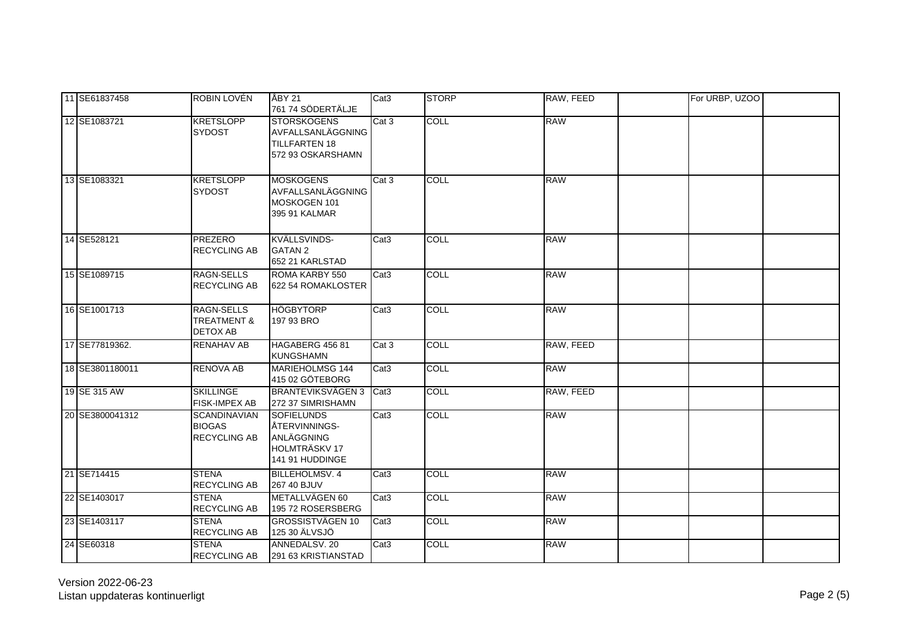| 11 SE61837458   | ROBIN LOVÉN                                                    | ÅBY 21<br>761 74 SÖDERTÄLJE                                                                | Cat <sub>3</sub> | <b>STORP</b> | RAW, FEED  | For URBP, UZOO |
|-----------------|----------------------------------------------------------------|--------------------------------------------------------------------------------------------|------------------|--------------|------------|----------------|
| 12 SE1083721    | <b>KRETSLOPP</b><br><b>SYDOST</b>                              | <b>STORSKOGENS</b><br>AVFALLSANLÄGGNING<br><b>TILLFARTEN 18</b><br>572 93 OSKARSHAMN       | Cat 3            | <b>COLL</b>  | <b>RAW</b> |                |
| 13 SE1083321    | <b>KRETSLOPP</b><br><b>SYDOST</b>                              | <b>MOSKOGENS</b><br>AVFALLSANLÄGGNING<br>MOSKOGEN 101<br>395 91 KALMAR                     | Cat 3            | <b>COLL</b>  | <b>RAW</b> |                |
| 14 SE528121     | <b>PREZERO</b><br><b>RECYCLING AB</b>                          | KVÄLLSVINDS-<br><b>GATAN 2</b><br>652 21 KARLSTAD                                          | Cat <sub>3</sub> | <b>COLL</b>  | <b>RAW</b> |                |
| 15 SE1089715    | RAGN-SELLS<br>RECYCLING AB                                     | ROMA KARBY 550<br>622 54 ROMAKLOSTER                                                       | Cat <sub>3</sub> | <b>COLL</b>  | <b>RAW</b> |                |
| 16 SE1001713    | <b>RAGN-SELLS</b><br><b>TREATMENT &amp;</b><br><b>DETOX AB</b> | <b>HÖGBYTORP</b><br>197 93 BRO                                                             | Cat <sub>3</sub> | <b>COLL</b>  | <b>RAW</b> |                |
| 17 SE77819362.  | <b>RENAHAV AB</b>                                              | HAGABERG 456 81<br><b>KUNGSHAMN</b>                                                        | Cat 3            | <b>COLL</b>  | RAW, FEED  |                |
| 18 SE3801180011 | <b>RENOVA AB</b>                                               | MARIEHOLMSG 144<br>415 02 GÖTEBORG                                                         | Cat <sub>3</sub> | <b>COLL</b>  | <b>RAW</b> |                |
| 19 SE 315 AW    | <b>SKILLINGE</b><br><b>FISK-IMPEX AB</b>                       | <b>BRANTEVIKSVÄGEN 3</b><br>272 37 SIMRISHAMN                                              | Cat <sub>3</sub> | COLL         | RAW, FEED  |                |
| 20 SE3800041312 | <b>SCANDINAVIAN</b><br><b>BIOGAS</b><br>RECYCLING AB           | <b>SOFIELUNDS</b><br>ÅTERVINNINGS-<br>ANLÄGGNING<br><b>HOLMTRÄSKV17</b><br>141 91 HUDDINGE | Cat <sub>3</sub> | <b>COLL</b>  | <b>RAW</b> |                |
| 21 SE714415     | <b>STENA</b><br><b>RECYCLING AB</b>                            | <b>BILLEHOLMSV.4</b><br>267 40 BJUV                                                        | Cat <sub>3</sub> | <b>COLL</b>  | <b>RAW</b> |                |
| 22 SE1403017    | <b>STENA</b><br><b>RECYCLING AB</b>                            | METALLVÄGEN 60<br>195 72 ROSERSBERG                                                        | Cat <sub>3</sub> | <b>COLL</b>  | <b>RAW</b> |                |
| 23 SE1403117    | <b>STENA</b><br><b>RECYCLING AB</b>                            | <b>GROSSISTVÄGEN 10</b><br>125 30 ÄLVSJÖ                                                   | Cat <sub>3</sub> | <b>COLL</b>  | <b>RAW</b> |                |
| 24 SE60318      | <b>STENA</b><br><b>RECYCLING AB</b>                            | ANNEDALSV, 20<br>291 63 KRISTIANSTAD                                                       | Cat <sub>3</sub> | <b>COLL</b>  | <b>RAW</b> |                |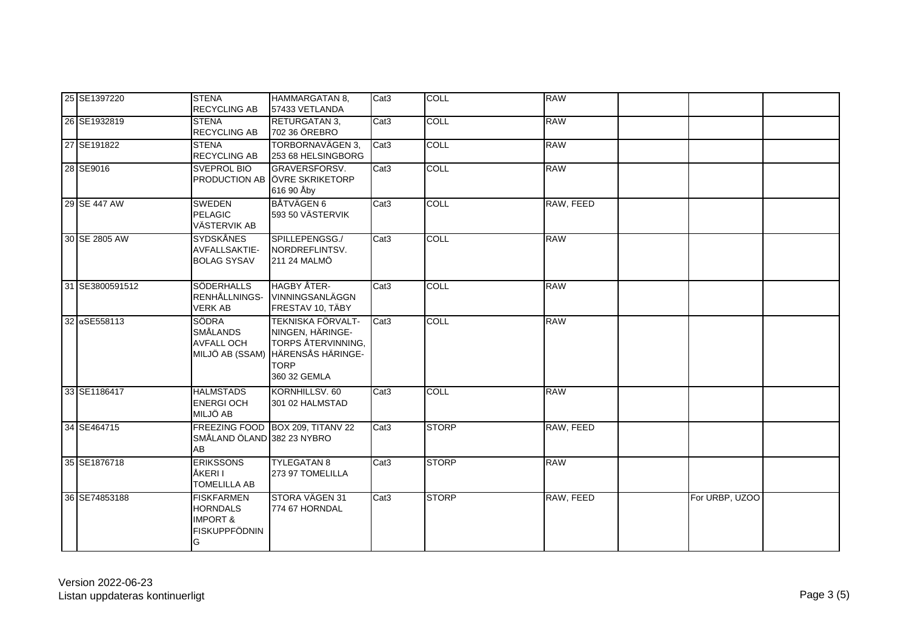| 25 SE1397220    | <b>STENA</b><br><b>RECYCLING AB</b>                                                      | <b>HAMMARGATAN 8.</b><br>57433 VETLANDA                                                                                                | Cat <sub>3</sub> | COLL         | <b>RAW</b> |                |
|-----------------|------------------------------------------------------------------------------------------|----------------------------------------------------------------------------------------------------------------------------------------|------------------|--------------|------------|----------------|
| 26 SE1932819    | <b>STENA</b><br><b>RECYCLING AB</b>                                                      | <b>RETURGATAN 3.</b><br>702 36 ÖREBRO                                                                                                  | Cat <sub>3</sub> | <b>COLL</b>  | <b>RAW</b> |                |
| 27 SE191822     | <b>STENA</b><br><b>RECYCLING AB</b>                                                      | TORBORNAVÄGEN 3,<br>253 68 HELSINGBORG                                                                                                 | Cat <sub>3</sub> | <b>COLL</b>  | <b>RAW</b> |                |
| 28 SE9016       | <b>SVEPROL BIO</b>                                                                       | GRAVERSFORSV.<br>PRODUCTION AB ÖVRE SKRIKETORP<br>616 90 Åby                                                                           | Cat <sub>3</sub> | <b>COLL</b>  | <b>RAW</b> |                |
| 29 SE 447 AW    | <b>SWEDEN</b><br><b>PELAGIC</b><br>VÄSTERVIK AB                                          | <b>BÅTVÄGEN 6</b><br>593 50 VÄSTERVIK                                                                                                  | Cat <sub>3</sub> | <b>COLL</b>  | RAW, FEED  |                |
| 30 SE 2805 AW   | <b>SYDSKÅNES</b><br><b>AVFALLSAKTIE-</b><br><b>BOLAG SYSAV</b>                           | SPILLEPENGSG./<br>NORDREFLINTSV.<br>211 24 MALMÖ                                                                                       | Cat <sub>3</sub> | <b>COLL</b>  | <b>RAW</b> |                |
| 31 SE3800591512 | <b>SÖDERHALLS</b><br>RENHÅLLNINGS-<br><b>VERK AB</b>                                     | <b>HAGBY ÅTER-</b><br>VINNINGSANLÄGGN<br>FRESTAV 10, TÄBY                                                                              | Cat <sub>3</sub> | <b>COLL</b>  | <b>RAW</b> |                |
| 32 aSE558113    | <b>SÖDRA</b><br><b>SMÅLANDS</b><br><b>AVFALL OCH</b>                                     | <b>TEKNISKA FÖRVALT-</b><br>NINGEN, HÄRINGE-<br>TORPS ÅTERVINNING,<br>MILJÖ AB (SSAM) HÄRENSÅS HÄRINGE-<br><b>TORP</b><br>360 32 GEMLA | Cat <sub>3</sub> | <b>COLL</b>  | <b>RAW</b> |                |
| 33 SE1186417    | <b>HALMSTADS</b><br><b>ENERGIOCH</b><br>MILJÖ AB                                         | KORNHILLSV, 60<br>301 02 HALMSTAD                                                                                                      | Cat <sub>3</sub> | <b>COLL</b>  | <b>RAW</b> |                |
| 34 SE464715     | SMÅLAND ÖLAND 382 23 NYBRO<br>AB                                                         | FREEZING FOOD BOX 209, TITANV 22                                                                                                       | Cat <sub>3</sub> | <b>STORP</b> | RAW, FEED  |                |
| 35 SE1876718    | <b>ERIKSSONS</b><br>ÅKERI I<br>TOMELILLA AB                                              | <b>TYLEGATAN 8</b><br>273 97 TOMELILLA                                                                                                 | Cat3             | <b>STORP</b> | <b>RAW</b> |                |
| 36 SE74853188   | <b>FISKFARMEN</b><br><b>HORNDALS</b><br><b>IMPORT &amp;</b><br><b>FISKUPPFÖDNIN</b><br>G | STORA VÄGEN 31<br>774 67 HORNDAL                                                                                                       | Cat <sub>3</sub> | <b>STORP</b> | RAW, FEED  | For URBP, UZOO |